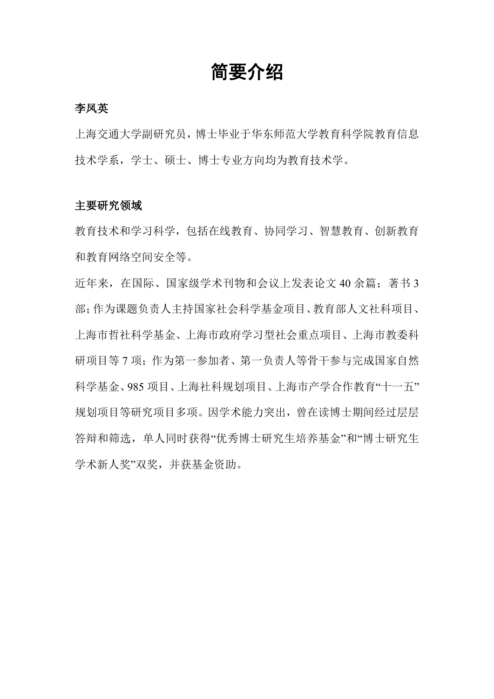# 简要介绍

#### 李凤英

上海交通大学副研究员,博士毕业于华东师范大学教育科学院教育信息 技术学系,学士、硕士、博士专业方向均为教育技术学。

#### 主要研究领域

教育技术和学习科学,包括在线教育、协同学习、智慧教育、创新教育 和教育网络空间安全等。

近年来, 在国际、国家级学术刊物和会议上发表论文 40 余篇; 著书 3 部;作为课题负责人主持国家社会科学基金项目、教育部人文社科项目、 上海市哲社科学基金、上海市政府学习型社会重点项目、上海市教委科 研项目等 7 项;作为第一参加者、第一负责人等骨干参与完成国家自然 科学基金、985 项目、上海社科规划项目、上海市产学合作教育"十一五" 规划项目等研究项目多项。因学术能力突出,曾在读博士期间经过层层 答辩和筛选,单人同时获得"优秀博士研究生培养基金"和"博士研究生 学术新人奖"双奖,并获基金资助。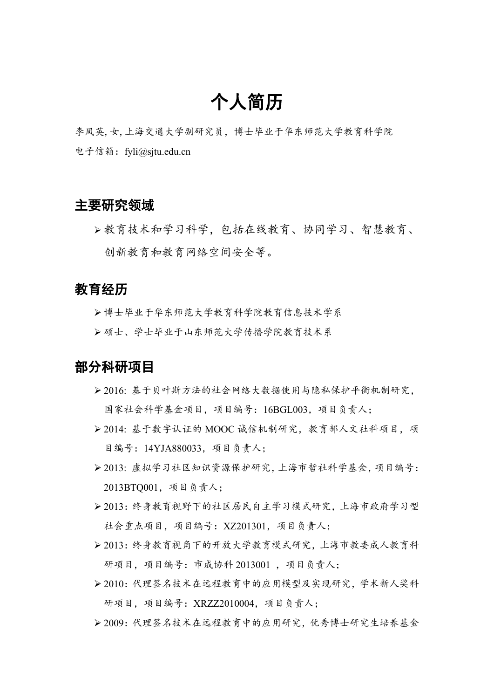# 个人简历

李凤英,女,上海交通大学副研究员,博士毕业于华东师范大学教育科学院 电子信箱: fyli@sjtu.edu.cn

### 主要研究领域

 教育技术和学习科学,包括在线教育、协同学习、智慧教育、 创新教育和教育网络空间安全等。

## 教育经历

博士毕业于华东师范大学教育科学院教育信息技术学系

硕士、学士毕业于山东师范大学传播学院教育技术系

### 部分科研项目

- 2016: 基于贝叶斯方法的社会网络大数据使用与隐私保护平衡机制研究, 国家社会科学基金项目,项目编号:16BGL003,项目负责人;
- 2014: 基于数字认证的 MOOC 诚信机制研究,教育部人文社科项目,项 目编号:14YJA880033,项目负责人;
- 2013: 虚拟学习社区知识资源保护研究,上海市哲社科学基金,项目编号: 2013BTQ001,项目负责人;
- 2013:终身教育视野下的社区居民自主学习模式研究,上海市政府学习型 社会重点项目,项目编号:XZ201301,项目负责人;
- 2013:终身教育视角下的开放大学教育模式研究,上海市教委成人教育科 研项目,项目编号:市成协科 2013001 ,项目负责人;
- 2010:代理签名技术在远程教育中的应用模型及实现研究,学术新人奖科 研项目,项目编号:XRZZ2010004,项目负责人;
- 2009:代理签名技术在远程教育中的应用研究,优秀博士研究生培养基金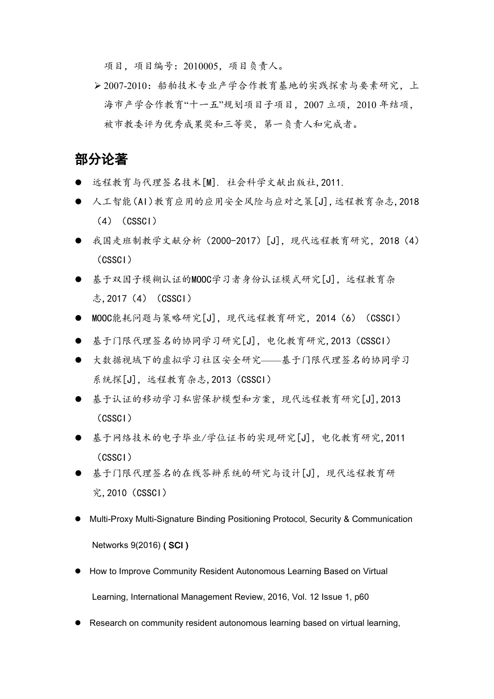项目,项目编号:2010005,项目负责人。

 2007-2010:船舶技术专业产学合作教育基地的实践探索与要素研究,上 海市产学合作教育"十一五"规划项目子项目,2007 立项,2010 年结项, 被市教委评为优秀成果奖和三等奖,第一负责人和完成者。

### 部分论著

- 远程教育与代理签名技术[M]. 社会科学文献出版社,2011.
- 人工智能(AI)教育应用的应用安全风险与应对之策[J],远程教育杂志,2018  $(4)$   $(CSSCI)$
- 我国走班制教学文献分析 (2000-2017) [J], 现代远程教育研究, 2018 (4) (CSSCI)
- 基于双因子模糊认证的MOOC学习者身份认证模式研究[J], 远程教育杂 志,2017 (4) (CSSCI)
- MOOC能耗问题与策略研究[J], 现代远程教育研究, 2014 (6) (CSSCI)
- 基于门限代理签名的协同学习研究[J],电化教育研究,2013(CSSCI)
- 大数据视域下的虚拟学习社区安全研究——基于门限代理签名的协同学习 系统探[J], 远程教育杂志, 2013 (CSSCI)
- 基于认证的移动学习私密保护模型和方案,现代远程教育研究[J],2013 (CSSCI)
- 基于网络技术的电子毕业/学位证书的实现研究[J],电化教育研究,2011 (CSSCI)
- 基于门限代理签名的在线答辩系统的研究与设计[J], 现代远程教育研 究,2010(CSSCI)
- Multi-Proxy Multi-Signature Binding Positioning Protocol, Security & Communication Networks 9(2016) ( SCI )
- How to Improve Community Resident Autonomous Learning Based on Virtual Learning, International Management Review, 2016, Vol. 12 Issue 1, p60
- Research on community resident autonomous learning based on virtual learning,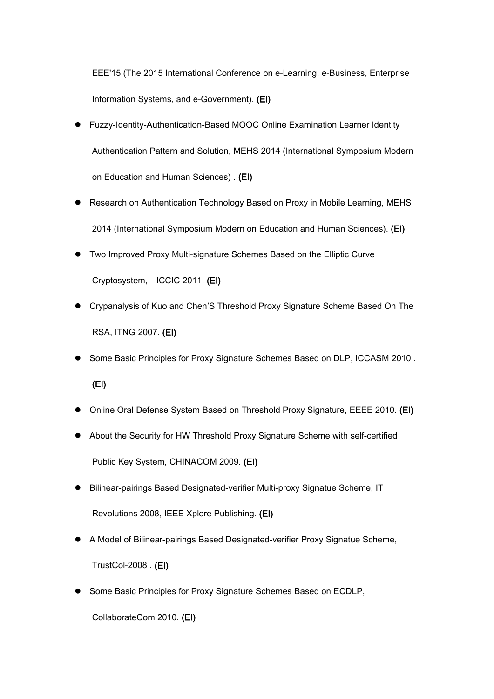EEE'15 (The 2015 International Conference on e-Learning, e-Business, Enterprise Information Systems, and e-Government). (EI)

- Fuzzy-Identity-Authentication-Based MOOC Online Examination Learner Identity Authentication Pattern and Solution, MEHS 2014 (International Symposium Modern on Education and Human Sciences) . (EI)
- Research on Authentication Technology Based on Proxy in Mobile Learning, MEHS 2014 (International Symposium Modern on Education and Human Sciences). (EI)
- Two Improved Proxy Multi-signature Schemes Based on the Elliptic Curve Cryptosystem, ICCIC 2011. (EI)
- Crypanalysis of Kuo and Chen'S Threshold Proxy Signature Scheme Based On The RSA, ITNG 2007. (EI)
- Some Basic Principles for Proxy Signature Schemes Based on DLP, ICCASM 2010. (EI)
- Online Oral Defense System Based on Threshold Proxy Signature, EEEE 2010. (EI)
- About the Security for HW Threshold Proxy Signature Scheme with self-certified Public Key System, CHINACOM 2009. (EI)
- Bilinear-pairings Based Designated-verifier Multi-proxy Signatue Scheme, IT Revolutions 2008, IEEE Xplore Publishing. (EI)
- A Model of Bilinear-pairings Based Designated-verifier Proxy Signatue Scheme, TrustCol-2008 . (EI)
- Some Basic Principles for Proxy Signature Schemes Based on ECDLP,<br>CollaborateCom 2010. (EI)